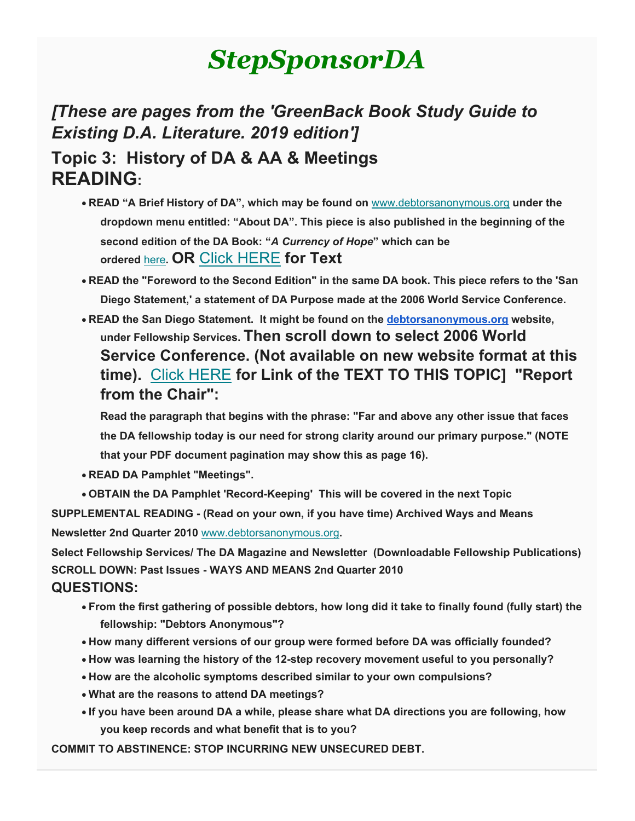# *StepSponsorDA*

## *[These are pages from the 'GreenBack Book Study Guide to Existing D.A. Literature. 2019 edition']* **Topic 3: History of DA & AA & Meetings READING:**

- **READ "A Brief History of DA", which may be found on** [www.debtorsanonymous.org](http://www.debtorsanonymous.org/) **under the dropdown menu entitled: "About DA". This piece is also published in the beginning of the second edition of the DA Book: "***A Currency of Hope***" which can be ordered** [here](https://debtorsanonymous.org/fellowship-services/order-literature/)**. OR** [Click HERE](https://gmail.us20.list-manage.com/track/click?u=1408c21f70032c33cd3b1c626&id=050df38e81&e=0267396aec) **for Text**
- **READ the "Foreword to the Second Edition" in the same DA book. This piece refers to the 'San Diego Statement,' a statement of DA Purpose made at the 2006 World Service Conference.**
- **READ the San Diego Statement. It might be found on the [debtorsanonymous.org](http://debtorsanonymous.org/) website, under Fellowship Services. Then scroll down to select 2006 World Service Conference. (Not available on new website format at this time).** [Click HERE](https://gmail.us20.list-manage.com/track/click?u=1408c21f70032c33cd3b1c626&id=435382c033&e=0267396aec) **for Link of the TEXT TO THIS TOPIC] "Report from the Chair":**

**Read the paragraph that begins with the phrase: "Far and above any other issue that faces the DA fellowship today is our need for strong clarity around our primary purpose." (NOTE that your PDF document pagination may show this as page 16).**

- **READ DA Pamphlet "Meetings".**
- **OBTAIN the DA Pamphlet 'Record-Keeping' This will be covered in the next Topic**

**SUPPLEMENTAL READING - (Read on your own, if you have time) Archived Ways and Means Newsletter 2nd Quarter 2010** [www.debtorsanonymous.org](http://www.debtorsanonymous.org/)**.**

**Select Fellowship Services/ The DA Magazine and Newsletter (Downloadable Fellowship Publications) SCROLL DOWN: Past Issues - WAYS AND MEANS 2nd Quarter 2010 QUESTIONS:**

- **From the first gathering of possible debtors, how long did it take to finally found (fully start) the fellowship: "Debtors Anonymous"?**
- **How many different versions of our group were formed before DA was officially founded?**
- **How was learning the history of the 12-step recovery movement useful to you personally?**
- **How are the alcoholic symptoms described similar to your own compulsions?**
- **What are the reasons to attend DA meetings?**
- **If you have been around DA a while, please share what DA directions you are following, how you keep records and what benefit that is to you?**

**COMMIT TO ABSTINENCE: STOP INCURRING NEW UNSECURED DEBT.**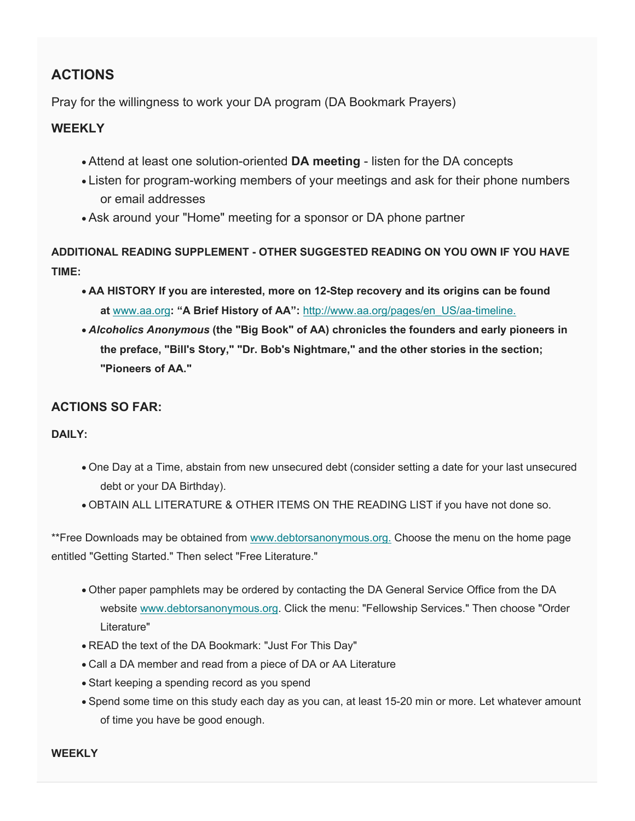#### **ACTIONS**

Pray for the willingness to work your DA program (DA Bookmark Prayers)

#### **WEEKLY**

- Attend at least one solution-oriented **DA meeting** listen for the DA concepts
- Listen for program-working members of your meetings and ask for their phone numbers or email addresses
- Ask around your "Home" meeting for a sponsor or DA phone partner

**ADDITIONAL READING SUPPLEMENT - OTHER SUGGESTED READING ON YOU OWN IF YOU HAVE TIME:**

- **AA HISTORY If you are interested, more on 12-Step recovery and its origins can be found at** [www.aa.org](http://www.aa.org/)**: "A Brief History of AA":** [http://www.aa.org/pages/en\\_US/aa-timeline.](http://www.aa.org/pages/en_US/aa-timeline)
- *Alcoholics Anonymous* **(the "Big Book" of AA) chronicles the founders and early pioneers in the preface, "Bill's Story," "Dr. Bob's Nightmare," and the other stories in the section; "Pioneers of AA."**

#### **ACTIONS SO FAR:**

#### **DAILY:**

- One Day at a Time, abstain from new unsecured debt (consider setting a date for your last unsecured debt or your DA Birthday).
- OBTAIN ALL LITERATURE & OTHER ITEMS ON THE READING LIST if you have not done so.

\*\*Free Downloads may be obtained from [www.debtorsanonymous.org.](http://www.debtorsanonymous.org/) Choose the menu on the home page entitled "Getting Started." Then select "Free Literature."

- Other paper pamphlets may be ordered by contacting the DA General Service Office from the DA website [www.debtorsanonymous.org.](http://www.debtorsanonymous.org/) Click the menu: "Fellowship Services." Then choose "Order Literature"
- READ the text of the DA Bookmark: "Just For This Day"
- Call a DA member and read from a piece of DA or AA Literature
- Start keeping a spending record as you spend
- Spend some time on this study each day as you can, at least 15-20 min or more. Let whatever amount of time you have be good enough.

**WEEKLY**